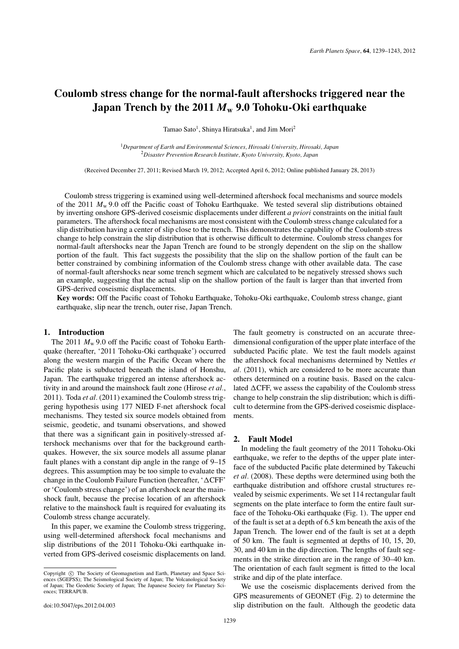# **Coulomb stress change for the normal-fault aftershocks triggered near the Japan Trench by the 2011** *M***<sup>w</sup> 9.0 Tohoku-Oki earthquake**

Tamao Sato<sup>1</sup>, Shinya Hiratsuka<sup>1</sup>, and Jim Mori<sup>2</sup>

<sup>1</sup>*Department of Earth and Environmental Sciences, Hirosaki University, Hirosaki, Japan* <sup>2</sup>*Disaster Prevention Research Institute, Kyoto University, Kyoto, Japan*

(Received December 27, 2011; Revised March 19, 2012; Accepted April 6, 2012; Online published January 28, 2013)

Coulomb stress triggering is examined using well-determined aftershock focal mechanisms and source models of the 2011  $M_w$  9.0 off the Pacific coast of Tohoku Earthquake. We tested several slip distributions obtained by inverting onshore GPS-derived coseismic displacements under different *a priori* constraints on the initial fault parameters. The aftershock focal mechanisms are most consistent with the Coulomb stress change calculated for a slip distribution having a center of slip close to the trench. This demonstrates the capability of the Coulomb stress change to help constrain the slip distribution that is otherwise difficult to determine. Coulomb stress changes for normal-fault aftershocks near the Japan Trench are found to be strongly dependent on the slip on the shallow portion of the fault. This fact suggests the possibility that the slip on the shallow portion of the fault can be better constrained by combining information of the Coulomb stress change with other available data. The case of normal-fault aftershocks near some trench segment which are calculated to be negatively stressed shows such an example, suggesting that the actual slip on the shallow portion of the fault is larger than that inverted from GPS-derived coseismic displacements.

**Key words:** Off the Pacific coast of Tohoku Earthquake, Tohoku-Oki earthquake, Coulomb stress change, giant earthquake, slip near the trench, outer rise, Japan Trench.

## **1. Introduction**

The 2011  $M_w$  9.0 off the Pacific coast of Tohoku Earthquake (hereafter, '2011 Tohoku-Oki earthquake') occurred along the western margin of the Pacific Ocean where the Pacific plate is subducted beneath the island of Honshu, Japan. The earthquake triggered an intense aftershock activity in and around the mainshock fault zone (Hirose *et al.*, 2011). Toda *et al.* (2011) examined the Coulomb stress triggering hypothesis using 177 NIED F-net aftershock focal mechanisms. They tested six source models obtained from seismic, geodetic, and tsunami observations, and showed that there was a significant gain in positively-stressed aftershock mechanisms over that for the background earthquakes. However, the six source models all assume planar fault planes with a constant dip angle in the range of 9–15 degrees. This assumption may be too simple to evaluate the change in the Coulomb Failure Function (hereafter, ' $\Delta CFF$ ' or 'Coulomb stress change') of an aftershock near the mainshock fault, because the precise location of an aftershock relative to the mainshock fault is required for evaluating its Coulomb stress change accurately.

In this paper, we examine the Coulomb stress triggering, using well-determined aftershock focal mechanisms and slip distributions of the 2011 Tohoku-Oki earthquake inverted from GPS-derived coseismic displacements on land.

The fault geometry is constructed on an accurate threedimensional configuration of the upper plate interface of the subducted Pacific plate. We test the fault models against the aftershock focal mechanisms determined by Nettles *et al.* (2011), which are considered to be more accurate than others determined on a routine basis. Based on the calculated  $\Delta$ CFF, we assess the capability of the Coulomb stress change to help constrain the slip distribution; which is difficult to determine from the GPS-derived coseismic displacements.

# **2. Fault Model**

In modeling the fault geometry of the 2011 Tohoku-Oki earthquake, we refer to the depths of the upper plate interface of the subducted Pacific plate determined by Takeuchi *et al.* (2008). These depths were determined using both the earthquake distribution and offshore crustal structures revealed by seismic experiments. We set 114 rectangular fault segments on the plate interface to form the entire fault surface of the Tohoku-Oki earthquake (Fig. 1). The upper end of the fault is set at a depth of 6.5 km beneath the axis of the Japan Trench. The lower end of the fault is set at a depth of 50 km. The fault is segmented at depths of 10, 15, 20, 30, and 40 km in the dip direction. The lengths of fault segments in the strike direction are in the range of 30–40 km. The orientation of each fault segment is fitted to the local strike and dip of the plate interface.

We use the coseismic displacements derived from the GPS measurements of GEONET (Fig. 2) to determine the slip distribution on the fault. Although the geodetic data

Copyright  $\odot$  The Society of Geomagnetism and Earth, Planetary and Space Sciences (SGEPSS); The Seismological Society of Japan; The Volcanological Society of Japan; The Geodetic Society of Japan; The Japanese Society for Planetary Sciences; TERRAPUB.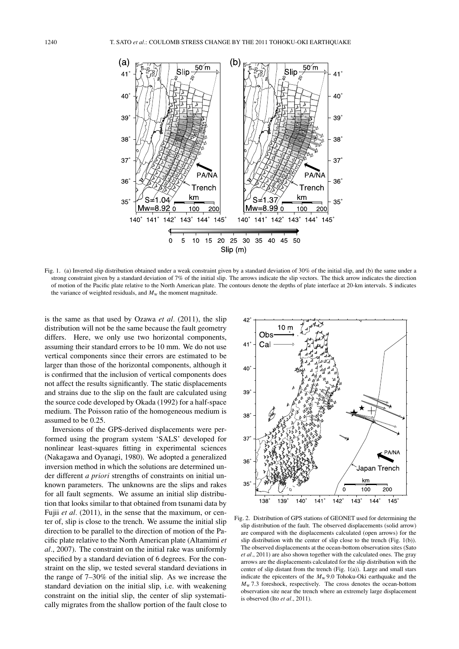

Fig. 1. (a) Inverted slip distribution obtained under a weak constraint given by a standard deviation of 30% of the initial slip, and (b) the same under a strong constraint given by a standard deviation of 7% of the initial slip. The arrows indicate the slip vectors. The thick arrow indicates the direction of motion of the Pacific plate relative to the North American plate. The contours denote the depths of plate interface at 20-km intervals. S indicates the variance of weighted residuals, and  $M_w$  the moment magnitude.

is the same as that used by Ozawa *et al.* (2011), the slip distribution will not be the same because the fault geometry differs. Here, we only use two horizontal components, assuming their standard errors to be 10 mm. We do not use vertical components since their errors are estimated to be larger than those of the horizontal components, although it is confirmed that the inclusion of vertical components does not affect the results significantly. The static displacements and strains due to the slip on the fault are calculated using the source code developed by Okada (1992) for a half-space medium. The Poisson ratio of the homogeneous medium is assumed to be 0.25.

Inversions of the GPS-derived displacements were performed using the program system 'SALS' developed for nonlinear least-squares fitting in experimental sciences (Nakagawa and Oyanagi, 1980). We adopted a generalized inversion method in which the solutions are determined under different *a priori* strengths of constraints on initial unknown parameters. The unknowns are the slips and rakes for all fault segments. We assume an initial slip distribution that looks similar to that obtained from tsunami data by Fujii *et al.* (2011), in the sense that the maximum, or center of, slip is close to the trench. We assume the initial slip direction to be parallel to the direction of motion of the Pacific plate relative to the North American plate (Altamimi *et al.*, 2007). The constraint on the initial rake was uniformly specified by a standard deviation of 6 degrees. For the constraint on the slip, we tested several standard deviations in the range of 7–30% of the initial slip. As we increase the standard deviation on the initial slip, i.e. with weakening constraint on the initial slip, the center of slip systematically migrates from the shallow portion of the fault close to



Fig. 2. Distribution of GPS stations of GEONET used for determining the slip distribution of the fault. The observed displacements (solid arrow) are compared with the displacements calculated (open arrows) for the slip distribution with the center of slip close to the trench (Fig. 1(b)). The observed displacements at the ocean-bottom observation sites (Sato *et al.*, 2011) are also shown together with the calculated ones. The gray arrows are the displacements calculated for the slip distribution with the center of slip distant from the trench (Fig. 1(a)). Large and small stars indicate the epicenters of the *M*<sup>w</sup> 9.0 Tohoku-Oki earthquake and the  $M_{\rm w}$  7.3 foreshock, respectively. The cross denotes the ocean-bottom observation site near the trench where an extremely large displacement is observed (Ito *et al.*, 2011).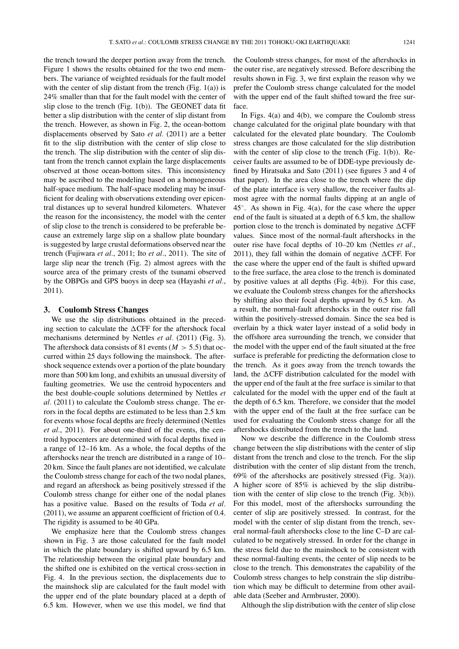the trench toward the deeper portion away from the trench. Figure 1 shows the results obtained for the two end members. The variance of weighted residuals for the fault model with the center of slip distant from the trench (Fig.  $1(a)$ ) is 24% smaller than that for the fault model with the center of slip close to the trench (Fig. 1(b)). The GEONET data fit better a slip distribution with the center of slip distant from the trench. However, as shown in Fig. 2, the ocean-bottom displacements observed by Sato *et al.* (2011) are a better fit to the slip distribution with the center of slip close to the trench. The slip distribution with the center of slip distant from the trench cannot explain the large displacements observed at those ocean-bottom sites. This inconsistency may be ascribed to the modeling based on a homogeneous half-space medium. The half-space modeling may be insufficient for dealing with observations extending over epicentral distances up to several hundred kilometers. Whatever the reason for the inconsistency, the model with the center of slip close to the trench is considered to be preferable because an extremely large slip on a shallow plate boundary is suggested by large crustal deformations observed near the trench (Fujiwara *et al.*, 2011; Ito *et al.*, 2011). The site of large slip near the trench (Fig. 2) almost agrees with the source area of the primary crests of the tsunami observed by the OBPGs and GPS buoys in deep sea (Hayashi *et al.*, 2011).

#### **3. Coulomb Stress Changes**

We use the slip distributions obtained in the preceding section to calculate the  $\Delta CFF$  for the aftershock focal mechanisms determined by Nettles *et al.* (2011) (Fig. 3). The aftershock data consists of 81 events ( $M > 5.5$ ) that occurred within 25 days following the mainshock. The aftershock sequence extends over a portion of the plate boundary more than 500 km long, and exhibits an unusual diversity of faulting geometries. We use the centroid hypocenters and the best double-couple solutions determined by Nettles *et al.* (2011) to calculate the Coulomb stress change. The errors in the focal depths are estimated to be less than 2.5 km for events whose focal depths are freely determined (Nettles *et al.*, 2011). For about one-third of the events, the centroid hypocenters are determined with focal depths fixed in a range of 12–16 km. As a whole, the focal depths of the aftershocks near the trench are distributed in a range of 10– 20 km. Since the fault planes are not identified, we calculate the Coulomb stress change for each of the two nodal planes, and regard an aftershock as being positively stressed if the Coulomb stress change for either one of the nodal planes has a positive value. Based on the results of Toda *et al.* (2011), we assume an apparent coefficient of friction of 0.4. The rigidity is assumed to be 40 GPa.

We emphasize here that the Coulomb stress changes shown in Fig. 3 are those calculated for the fault model in which the plate boundary is shifted upward by 6.5 km. The relationship between the original plate boundary and the shifted one is exhibited on the vertical cross-section in Fig. 4. In the previous section, the displacements due to the mainshock slip are calculated for the fault model with the upper end of the plate boundary placed at a depth of 6.5 km. However, when we use this model, we find that

the Coulomb stress changes, for most of the aftershocks in the outer rise, are negatively stressed. Before describing the results shown in Fig. 3, we first explain the reason why we prefer the Coulomb stress change calculated for the model with the upper end of the fault shifted toward the free surface.

In Figs. 4(a) and 4(b), we compare the Coulomb stress change calculated for the original plate boundary with that calculated for the elevated plate boundary. The Coulomb stress changes are those calculated for the slip distribution with the center of slip close to the trench (Fig. 1(b)). Receiver faults are assumed to be of DDE-type previously defined by Hiratsuka and Sato (2011) (see figures 3 and 4 of that paper). In the area close to the trench where the dip of the plate interface is very shallow, the receiver faults almost agree with the normal faults dipping at an angle of 45◦. As shown in Fig. 4(a), for the case where the upper end of the fault is situated at a depth of 6.5 km, the shallow portion close to the trench is dominated by negative  $\Delta CFF$ values. Since most of the normal-fault aftershocks in the outer rise have focal depths of 10–20 km (Nettles *et al.*, 2011), they fall within the domain of negative  $\Delta$ CFF. For the case where the upper end of the fault is shifted upward to the free surface, the area close to the trench is dominated by positive values at all depths (Fig. 4(b)). For this case, we evaluate the Coulomb stress changes for the aftershocks by shifting also their focal depths upward by 6.5 km. As a result, the normal-fault aftershocks in the outer rise fall within the positively-stressed domain. Since the sea bed is overlain by a thick water layer instead of a solid body in the offshore area surrounding the trench, we consider that the model with the upper end of the fault situated at the free surface is preferable for predicting the deformation close to the trench. As it goes away from the trench towards the land, the  $\Delta CFF$  distribution calculated for the model with the upper end of the fault at the free surface is similar to that calculated for the model with the upper end of the fault at the depth of 6.5 km. Therefore, we consider that the model with the upper end of the fault at the free surface can be used for evaluating the Coulomb stress change for all the aftershocks distributed from the trench to the land.

Now we describe the difference in the Coulomb stress change between the slip distributions with the center of slip distant from the trench and close to the trench. For the slip distribution with the center of slip distant from the trench, 69% of the aftershocks are positively stressed (Fig. 3(a)). A higher score of 85% is achieved by the slip distribution with the center of slip close to the trench (Fig. 3(b)). For this model, most of the aftershocks surrounding the center of slip are positively stressed. In contrast, for the model with the center of slip distant from the trench, several normal-fault aftershocks close to the line C–D are calculated to be negatively stressed. In order for the change in the stress field due to the mainshock to be consistent with these normal-faulting events, the center of slip needs to be close to the trench. This demonstrates the capability of the Coulomb stress changes to help constrain the slip distribution which may be difficult to determine from other available data (Seeber and Armbruster, 2000).

Although the slip distribution with the center of slip close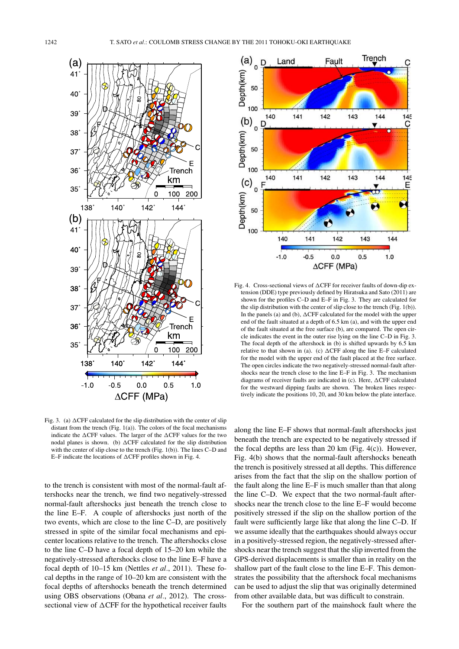

Fig. 3. (a)  $\Delta$ CFF calculated for the slip distribution with the center of slip distant from the trench (Fig. 1(a)). The colors of the focal mechanisms indicate the  $\triangle CFF$  values. The larger of the  $\triangle CFF$  values for the two nodal planes is shown. (b)  $\Delta CFF$  calculated for the slip distribution with the center of slip close to the trench (Fig. 1(b)). The lines C–D and E-F indicate the locations of  $\triangle CFF$  profiles shown in Fig. 4.

to the trench is consistent with most of the normal-fault aftershocks near the trench, we find two negatively-stressed normal-fault aftershocks just beneath the trench close to the line E–F. A couple of aftershocks just north of the two events, which are close to the line C–D, are positively stressed in spite of the similar focal mechanisms and epicenter locations relative to the trench. The aftershocks close to the line C–D have a focal depth of 15–20 km while the negatively-stressed aftershocks close to the line E–F have a focal depth of 10–15 km (Nettles *et al.*, 2011). These focal depths in the range of 10–20 km are consistent with the focal depths of aftershocks beneath the trench determined using OBS observations (Obana *et al.*, 2012). The crosssectional view of  $\Delta CFF$  for the hypothetical receiver faults



Fig. 4. Cross-sectional views of  $\Delta CFF$  for receiver faults of down-dip extension (DDE) type previously defined by Hiratsuka and Sato (2011) are shown for the profiles C–D and E–F in Fig. 3. They are calculated for the slip distribution with the center of slip close to the trench (Fig. 1(b)). In the panels (a) and (b),  $\Delta CFF$  calculated for the model with the upper end of the fault situated at a depth of 6.5 km (a), and with the upper end of the fault situated at the free surface (b), are compared. The open circle indicates the event in the outer rise lying on the line C–D in Fig. 3. The focal depth of the aftershock in (b) is shifted upwards by 6.5 km relative to that shown in (a). (c)  $\Delta CFF$  along the line E–F calculated for the model with the upper end of the fault placed at the free surface. The open circles indicate the two negatively-stressed normal-fault aftershocks near the trench close to the line E–F in Fig. 3. The mechanism diagrams of receiver faults are indicated in  $(c)$ . Here,  $\Delta CFF$  calculated for the westward dipping faults are shown. The broken lines respectively indicate the positions 10, 20, and 30 km below the plate interface.

along the line E–F shows that normal-fault aftershocks just beneath the trench are expected to be negatively stressed if the focal depths are less than 20 km (Fig.  $4(c)$ ). However, Fig. 4(b) shows that the normal-fault aftershocks beneath the trench is positively stressed at all depths. This difference arises from the fact that the slip on the shallow portion of the fault along the line E–F is much smaller than that along the line C–D. We expect that the two normal-fault aftershocks near the trench close to the line E–F would become positively stressed if the slip on the shallow portion of the fault were sufficiently large like that along the line C–D. If we assume ideally that the earthquakes should always occur in a positively-stressed region, the negatively-stressed aftershocks near the trench suggest that the slip inverted from the GPS-derived displacements is smaller than in reality on the shallow part of the fault close to the line E–F. This demonstrates the possibility that the aftershock focal mechanisms can be used to adjust the slip that was originally determined from other available data, but was difficult to constrain.

For the southern part of the mainshock fault where the